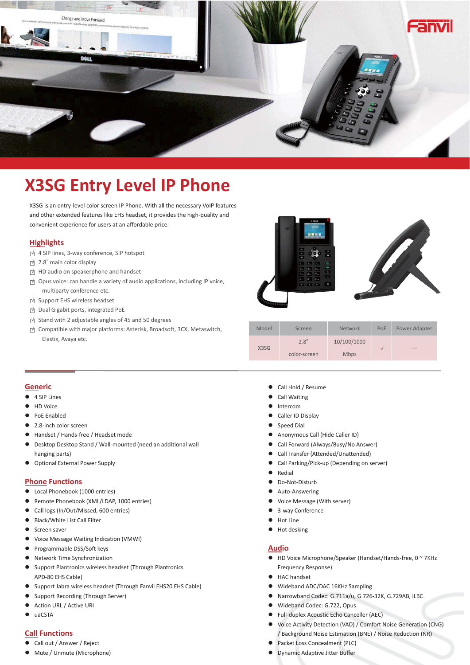

# **X3SG Entry Level IP Phone**

X3SG is an entry-level color screen IP Phone. With all the necessary VoIP features and other extended features like EHS headset, it provides the high-quality and convenient experience for users at an affordable price.

# **Highlights**

- □√ 4 SIP lines, 3-way conference, SIP hotspot
- □√ 2.8" main color display
- □√ HD audio on speakerphone and handset
- □√ Opus voice: can handle a variety of audio applications, including IP voice, multiparty conference etc.
- □√ Support EHS wireless headset
- □√ Dual Gigabit ports, integrated PoE
- □√ Stand with 2 adjustable angles of 45 and 50 degrees
- □√ Compatible with major platforms: Asterisk, Broadsoft, 3CX, Metaswitch, Elastix, Avaya etc.



|  | Model             | Screen       | <b>Network</b> | PoE    | Power Adapter |  |
|--|-------------------|--------------|----------------|--------|---------------|--|
|  | X <sub>3</sub> SG | 2.8"         | 10/100/1000    | $\sim$ | ___           |  |
|  |                   | color-screen | <b>Mbps</b>    |        |               |  |

#### **Generic**

- 4 SIP Lines
- z HD Voice
- PoE Enabled
- 2.8-inch color screen
- Handset / Hands-free / Headset mode
- **•** Desktop Desktop Stand / Wall-mounted (need an additional wall hanging parts)
- Optional External Power Supply

## **Phone Functions**

- Local Phonebook (1000 entries)
- Remote Phonebook (XML/LDAP, 1000 entries)
- Call logs (In/Out/Missed, 600 entries)
- Black/White List Call Filter
- $\bullet$  Screen saver
- Voice Message Waiting Indication (VMWI)
- Programmable DSS/Soft keys
- Network Time Synchronization
- Support Plantronics wireless headset (Through Plantronics APD-80 EHS Cable)
- Support Jabra wireless headset (Through Fanvil EHS20 EHS Cable)
- Support Recording (Through Server)
- Action URL / Active URI
- $\bullet$  uaCSTA

## **Call Functions**

- Call out / Answer / Reject
- $\bullet$  Mute / Unmute (Microphone)
- Call Hold / Resume
- Call Waiting
- **a** Intercom
- Caller ID Display
- Speed Dial
- **•** Anonymous Call (Hide Caller ID)
- **•** Call Forward (Always/Busy/No Answer)
- **•** Call Transfer (Attended/Unattended)
- Call Parking/Pick-up (Depending on server)
- $\bullet$  Redial
- **•** Do-Not-Disturb
- Auto-Answering
- Voice Message (With server)
- 3-way Conference
- $\bullet$  Hot Line
- Hot desking

#### **Audio**

- HD Voice Microphone/Speaker (Handset/Hands-free, 0 ~ 7KHz Frequency Response)
- HAC handset
- Wideband ADC/DAC 16KHz Sampling
- z Narrowband Codec: G.711a/u, G.726-32K, G.729AB, iLBC
- Wideband Codec: G.722, Opus
- **•** Full-duplex Acoustic Echo Canceller (AEC)
- Voice Activity Detection (VAD) / Comfort Noise Generation (CNG) / Background Noise Estimation (BNE) / Noise Reduction (NR)
- Packet Loss Concealment (PLC)
- **•** Dynamic Adaptive Jitter Buffer